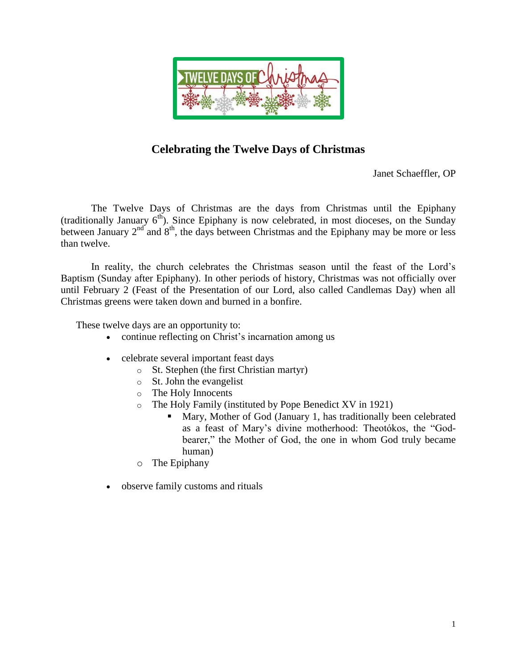

# **Celebrating the Twelve Days of Christmas**

Janet Schaeffler, OP

The Twelve Days of Christmas are the days from Christmas until the Epiphany (traditionally January  $6<sup>th</sup>$ ). Since Epiphany is now celebrated, in most dioceses, on the Sunday between January  $2<sup>nd</sup>$  and  $8<sup>th</sup>$ , the days between Christmas and the Epiphany may be more or less than twelve.

In reality, the church celebrates the Christmas season until the feast of the Lord's Baptism (Sunday after Epiphany). In other periods of history, Christmas was not officially over until February 2 (Feast of the Presentation of our Lord, also called Candlemas Day) when all Christmas greens were taken down and burned in a bonfire.

These twelve days are an opportunity to:

- continue reflecting on Christ's incarnation among us
- celebrate several important feast days
	- o St. Stephen (the first Christian martyr)
	- o St. John the evangelist
	- o The Holy Innocents
	- o The Holy Family (instituted by Pope Benedict XV in 1921)
		- Mary, Mother of God (January 1, has traditionally been celebrated as a feast of Mary's divine motherhood: Theotókos, the "Godbearer," the Mother of God, the one in whom God truly became human)
	- o The Epiphany
- observe family customs and rituals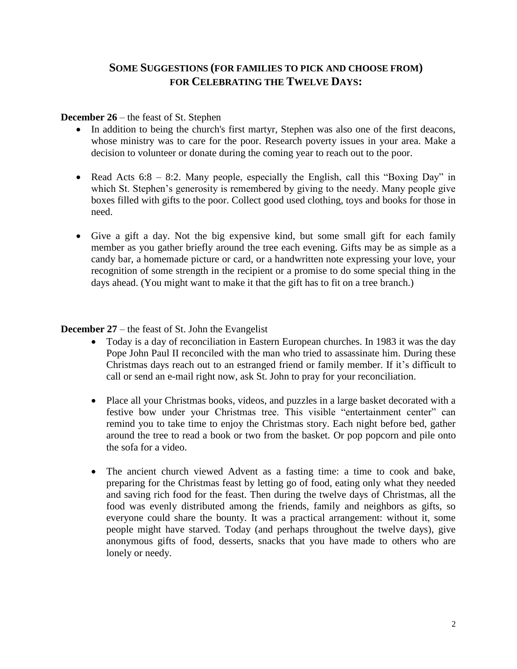## **SOME SUGGESTIONS (FOR FAMILIES TO PICK AND CHOOSE FROM) FOR CELEBRATING THE TWELVE DAYS:**

#### **December 26** – the feast of St. Stephen

- In addition to being the church's first martyr, Stephen was also one of the first deacons, whose ministry was to care for the poor. Research poverty issues in your area. Make a decision to volunteer or donate during the coming year to reach out to the poor.
- Read Acts  $6:8 8:2$ . Many people, especially the English, call this "Boxing Day" in which St. Stephen's generosity is remembered by giving to the needy. Many people give boxes filled with gifts to the poor. Collect good used clothing, toys and books for those in need.
- Give a gift a day. Not the big expensive kind, but some small gift for each family member as you gather briefly around the tree each evening. Gifts may be as simple as a candy bar, a homemade picture or card, or a handwritten note expressing your love, your recognition of some strength in the recipient or a promise to do some special thing in the days ahead. (You might want to make it that the gift has to fit on a tree branch.)

## **December 27** – the feast of St. John the Evangelist

- Today is a day of reconciliation in Eastern European churches. In 1983 it was the day Pope John Paul II reconciled with the man who tried to assassinate him. During these Christmas days reach out to an estranged friend or family member. If it's difficult to call or send an e-mail right now, ask St. John to pray for your reconciliation.
- Place all your Christmas books, videos, and puzzles in a large basket decorated with a festive bow under your Christmas tree. This visible "entertainment center" can remind you to take time to enjoy the Christmas story. Each night before bed, gather around the tree to read a book or two from the basket. Or pop popcorn and pile onto the sofa for a video.
- The ancient church viewed Advent as a fasting time: a time to cook and bake, preparing for the Christmas feast by letting go of food, eating only what they needed and saving rich food for the feast. Then during the twelve days of Christmas, all the food was evenly distributed among the friends, family and neighbors as gifts, so everyone could share the bounty. It was a practical arrangement: without it, some people might have starved. Today (and perhaps throughout the twelve days), give anonymous gifts of food, desserts, snacks that you have made to others who are lonely or needy.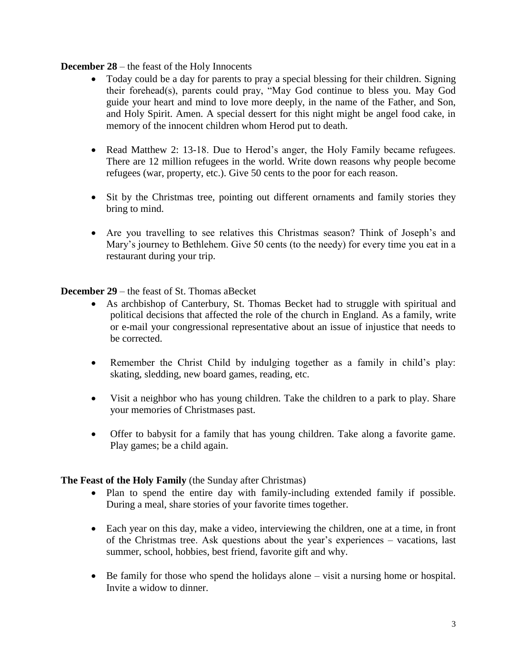## **December 28** – the feast of the Holy Innocents

- Today could be a day for parents to pray a special blessing for their children. Signing their forehead(s), parents could pray, "May God continue to bless you. May God guide your heart and mind to love more deeply, in the name of the Father, and Son, and Holy Spirit. Amen. A special dessert for this night might be angel food cake, in memory of the innocent children whom Herod put to death.
- Read Matthew 2: 13-18. Due to Herod's anger, the Holy Family became refugees. There are 12 million refugees in the world. Write down reasons why people become refugees (war, property, etc.). Give 50 cents to the poor for each reason.
- Sit by the Christmas tree, pointing out different ornaments and family stories they bring to mind.
- Are you travelling to see relatives this Christmas season? Think of Joseph's and Mary's journey to Bethlehem. Give 50 cents (to the needy) for every time you eat in a restaurant during your trip.

**December 29** – the feast of St. Thomas aBecket

- As archbishop of Canterbury, St. Thomas Becket had to struggle with spiritual and political decisions that affected the role of the church in England. As a family, write or e-mail your congressional representative about an issue of injustice that needs to be corrected.
- Remember the Christ Child by indulging together as a family in child's play: skating, sledding, new board games, reading, etc.
- Visit a neighbor who has young children. Take the children to a park to play. Share your memories of Christmases past.
- Offer to babysit for a family that has young children. Take along a favorite game. Play games; be a child again.

## **The Feast of the Holy Family** (the Sunday after Christmas)

- Plan to spend the entire day with family-including extended family if possible. During a meal, share stories of your favorite times together.
- Each year on this day, make a video, interviewing the children, one at a time, in front of the Christmas tree. Ask questions about the year's experiences – vacations, last summer, school, hobbies, best friend, favorite gift and why.
- Be family for those who spend the holidays alone visit a nursing home or hospital. Invite a widow to dinner.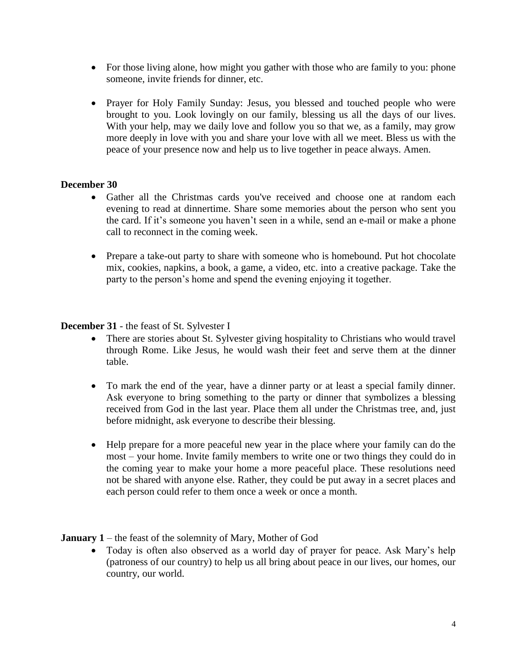- For those living alone, how might you gather with those who are family to you: phone someone, invite friends for dinner, etc.
- Prayer for Holy Family Sunday: Jesus, you blessed and touched people who were brought to you. Look lovingly on our family, blessing us all the days of our lives. With your help, may we daily love and follow you so that we, as a family, may grow more deeply in love with you and share your love with all we meet. Bless us with the peace of your presence now and help us to live together in peace always. Amen.

#### **December 30**

- Gather all the Christmas cards you've received and choose one at random each evening to read at dinnertime. Share some memories about the person who sent you the card. If it's someone you haven't seen in a while, send an e-mail or make a phone call to reconnect in the coming week.
- Prepare a take-out party to share with someone who is homebound. Put hot chocolate mix, cookies, napkins, a book, a game, a video, etc. into a creative package. Take the party to the person's home and spend the evening enjoying it together.

#### **December 31** - the feast of St. Sylvester I

- There are stories about St. Sylvester giving hospitality to Christians who would travel through Rome. Like Jesus, he would wash their feet and serve them at the dinner table.
- To mark the end of the year, have a dinner party or at least a special family dinner. Ask everyone to bring something to the party or dinner that symbolizes a blessing received from God in the last year. Place them all under the Christmas tree, and, just before midnight, ask everyone to describe their blessing.
- Help prepare for a more peaceful new year in the place where your family can do the most – your home. Invite family members to write one or two things they could do in the coming year to make your home a more peaceful place. These resolutions need not be shared with anyone else. Rather, they could be put away in a secret places and each person could refer to them once a week or once a month.

**January 1** – the feast of the solemnity of Mary, Mother of God

• Today is often also observed as a world day of prayer for peace. Ask Mary's help (patroness of our country) to help us all bring about peace in our lives, our homes, our country, our world.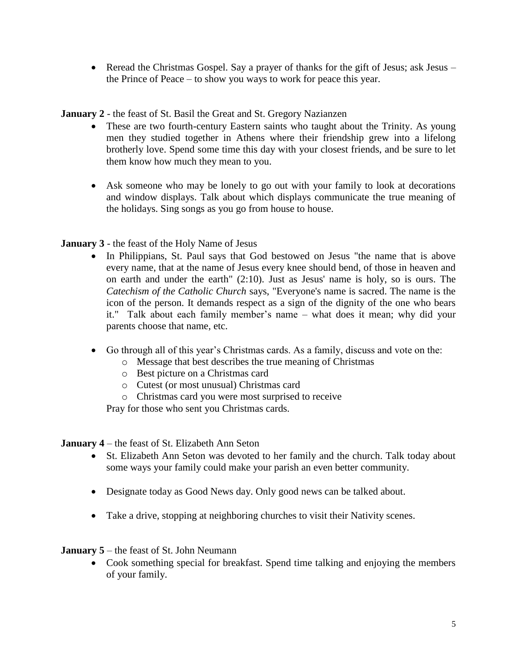• Reread the Christmas Gospel. Say a prayer of thanks for the gift of Jesus; ask Jesus – the Prince of Peace – to show you ways to work for peace this year.

**January 2** - the feast of St. Basil the Great and St. Gregory Nazianzen

- These are two fourth-century Eastern saints who taught about the Trinity. As young men they studied together in Athens where their friendship grew into a lifelong brotherly love. Spend some time this day with your closest friends, and be sure to let them know how much they mean to you.
- Ask someone who may be lonely to go out with your family to look at decorations and window displays. Talk about which displays communicate the true meaning of the holidays. Sing songs as you go from house to house.

## **January 3** - the feast of the Holy Name of Jesus

- In Philippians, St. Paul says that God bestowed on Jesus "the name that is above every name, that at the name of Jesus every knee should bend, of those in heaven and on earth and under the earth" (2:10). Just as Jesus' name is holy, so is ours. The *Catechism of the Catholic Church* says, "Everyone's name is sacred. The name is the icon of the person. It demands respect as a sign of the dignity of the one who bears it." Talk about each family member's name – what does it mean; why did your parents choose that name, etc.
- Go through all of this year's Christmas cards. As a family, discuss and vote on the:
	- o Message that best describes the true meaning of Christmas
	- o Best picture on a Christmas card
	- o Cutest (or most unusual) Christmas card
	- o Christmas card you were most surprised to receive

Pray for those who sent you Christmas cards.

**January 4** – the feast of St. Elizabeth Ann Seton

- St. Elizabeth Ann Seton was devoted to her family and the church. Talk today about some ways your family could make your parish an even better community.
- Designate today as Good News day. Only good news can be talked about.
- Take a drive, stopping at neighboring churches to visit their Nativity scenes.

**January 5** – the feast of St. John Neumann

• Cook something special for breakfast. Spend time talking and enjoying the members of your family.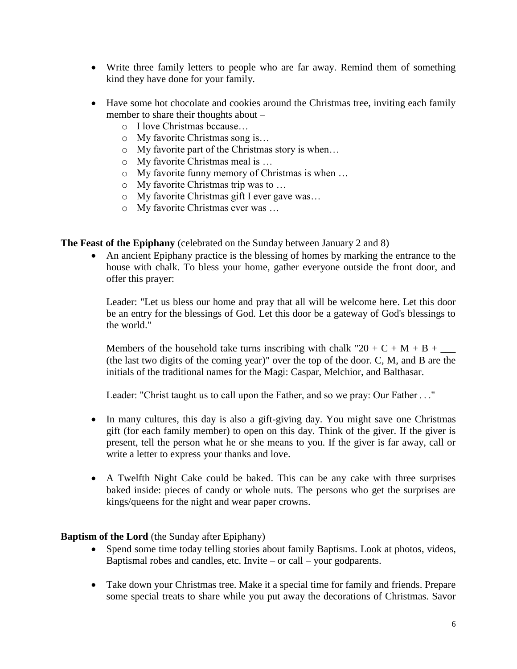- Write three family letters to people who are far away. Remind them of something kind they have done for your family.
- Have some hot chocolate and cookies around the Christmas tree, inviting each family member to share their thoughts about –
	- o I love Christmas bccause…
	- o My favorite Christmas song is…
	- o My favorite part of the Christmas story is when…
	- o My favorite Christmas meal is …
	- o My favorite funny memory of Christmas is when …
	- o My favorite Christmas trip was to …
	- o My favorite Christmas gift I ever gave was…
	- o My favorite Christmas ever was …

**The Feast of the Epiphany** (celebrated on the Sunday between January 2 and 8)

 An ancient Epiphany practice is the blessing of homes by marking the entrance to the house with chalk. To bless your home, gather everyone outside the front door, and offer this prayer:

Leader: "Let us bless our home and pray that all will be welcome here. Let this door be an entry for the blessings of God. Let this door be a gateway of God's blessings to the world."

Members of the household take turns inscribing with chalk "20 + C + M + B +  $\_\_$ (the last two digits of the coming year)" over the top of the door. C, M, and B are the initials of the traditional names for the Magi: Caspar, Melchior, and Balthasar.

Leader: "Christ taught us to call upon the Father, and so we pray: Our Father . . ."

- In many cultures, this day is also a gift-giving day. You might save one Christmas gift (for each family member) to open on this day. Think of the giver. If the giver is present, tell the person what he or she means to you. If the giver is far away, call or write a letter to express your thanks and love.
- A Twelfth Night Cake could be baked. This can be any cake with three surprises baked inside: pieces of candy or whole nuts. The persons who get the surprises are kings/queens for the night and wear paper crowns.

## **Baptism of the Lord** (the Sunday after Epiphany)

- Spend some time today telling stories about family Baptisms. Look at photos, videos, Baptismal robes and candles, etc. Invite – or call – your godparents.
- Take down your Christmas tree. Make it a special time for family and friends. Prepare some special treats to share while you put away the decorations of Christmas. Savor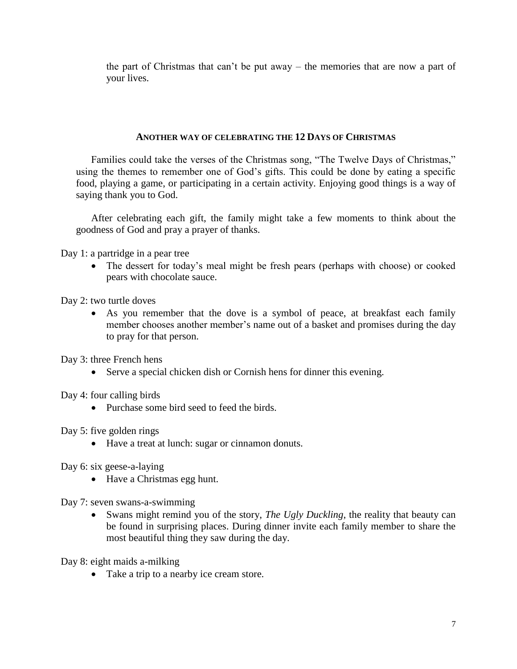the part of Christmas that can't be put away – the memories that are now a part of your lives.

## **ANOTHER WAY OF CELEBRATING THE 12 DAYS OF CHRISTMAS**

Families could take the verses of the Christmas song, "The Twelve Days of Christmas," using the themes to remember one of God's gifts. This could be done by eating a specific food, playing a game, or participating in a certain activity. Enjoying good things is a way of saying thank you to God.

After celebrating each gift, the family might take a few moments to think about the goodness of God and pray a prayer of thanks.

Day 1: a partridge in a pear tree

• The dessert for today's meal might be fresh pears (perhaps with choose) or cooked pears with chocolate sauce.

Day 2: two turtle doves

 As you remember that the dove is a symbol of peace, at breakfast each family member chooses another member's name out of a basket and promises during the day to pray for that person.

Day 3: three French hens

Serve a special chicken dish or Cornish hens for dinner this evening.

Day 4: four calling birds

• Purchase some bird seed to feed the birds.

Day 5: five golden rings

Have a treat at lunch: sugar or cinnamon donuts.

Day 6: six geese-a-laying

• Have a Christmas egg hunt.

Day 7: seven swans-a-swimming

 Swans might remind you of the story, *The Ugly Duckling*, the reality that beauty can be found in surprising places. During dinner invite each family member to share the most beautiful thing they saw during the day.

Day 8: eight maids a-milking

• Take a trip to a nearby ice cream store.